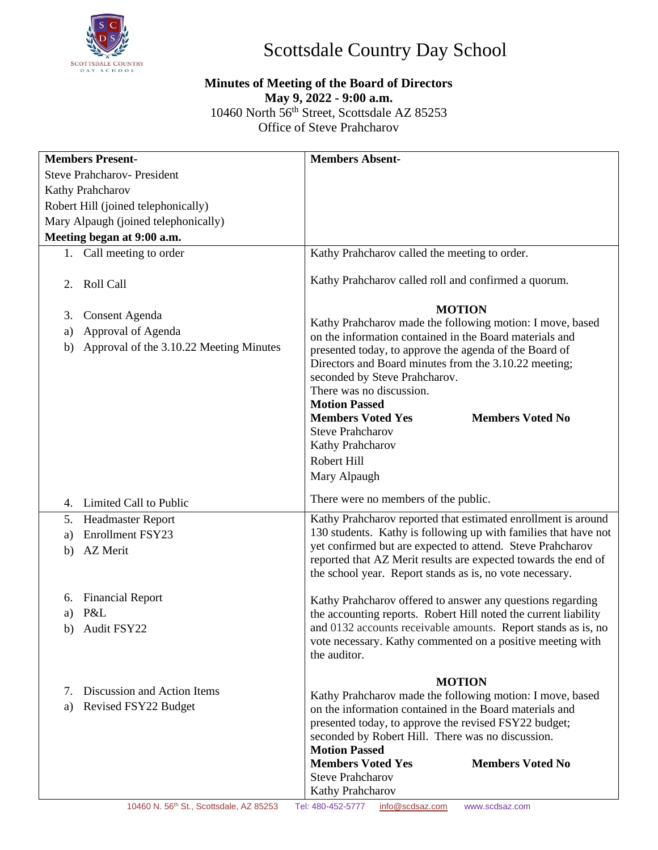

## Scottsdale Country Day School

## **Minutes of Meeting of the Board of Directors May 9, 2022 - 9:00 a.m.** 10460 North 56th Street, Scottsdale AZ 85253 Office of Steve Prahcharov

| <b>Steve Prahcharov- President</b><br>Kathy Prahcharov<br>Robert Hill (joined telephonically)<br>Mary Alpaugh (joined telephonically)<br>Meeting began at 9:00 a.m.<br>1. Call meeting to order<br>Kathy Prahcharov called the meeting to order.<br>Kathy Prahcharov called roll and confirmed a quorum.<br><b>Roll Call</b><br>2.<br><b>MOTION</b><br><b>Consent Agenda</b><br>3.<br>Kathy Prahcharov made the following motion: I move, based<br>Approval of Agenda<br>a)<br>on the information contained in the Board materials and<br>Approval of the 3.10.22 Meeting Minutes<br>b)<br>presented today, to approve the agenda of the Board of<br>Directors and Board minutes from the 3.10.22 meeting; |
|------------------------------------------------------------------------------------------------------------------------------------------------------------------------------------------------------------------------------------------------------------------------------------------------------------------------------------------------------------------------------------------------------------------------------------------------------------------------------------------------------------------------------------------------------------------------------------------------------------------------------------------------------------------------------------------------------------|
|                                                                                                                                                                                                                                                                                                                                                                                                                                                                                                                                                                                                                                                                                                            |
|                                                                                                                                                                                                                                                                                                                                                                                                                                                                                                                                                                                                                                                                                                            |
|                                                                                                                                                                                                                                                                                                                                                                                                                                                                                                                                                                                                                                                                                                            |
|                                                                                                                                                                                                                                                                                                                                                                                                                                                                                                                                                                                                                                                                                                            |
|                                                                                                                                                                                                                                                                                                                                                                                                                                                                                                                                                                                                                                                                                                            |
|                                                                                                                                                                                                                                                                                                                                                                                                                                                                                                                                                                                                                                                                                                            |
|                                                                                                                                                                                                                                                                                                                                                                                                                                                                                                                                                                                                                                                                                                            |
|                                                                                                                                                                                                                                                                                                                                                                                                                                                                                                                                                                                                                                                                                                            |
|                                                                                                                                                                                                                                                                                                                                                                                                                                                                                                                                                                                                                                                                                                            |
|                                                                                                                                                                                                                                                                                                                                                                                                                                                                                                                                                                                                                                                                                                            |
|                                                                                                                                                                                                                                                                                                                                                                                                                                                                                                                                                                                                                                                                                                            |
| seconded by Steve Prahcharov.                                                                                                                                                                                                                                                                                                                                                                                                                                                                                                                                                                                                                                                                              |
| There was no discussion.                                                                                                                                                                                                                                                                                                                                                                                                                                                                                                                                                                                                                                                                                   |
| <b>Motion Passed</b>                                                                                                                                                                                                                                                                                                                                                                                                                                                                                                                                                                                                                                                                                       |
| <b>Members Voted No</b><br><b>Members Voted Yes</b>                                                                                                                                                                                                                                                                                                                                                                                                                                                                                                                                                                                                                                                        |
| <b>Steve Prahcharov</b>                                                                                                                                                                                                                                                                                                                                                                                                                                                                                                                                                                                                                                                                                    |
| Kathy Prahcharov                                                                                                                                                                                                                                                                                                                                                                                                                                                                                                                                                                                                                                                                                           |
| Robert Hill                                                                                                                                                                                                                                                                                                                                                                                                                                                                                                                                                                                                                                                                                                |
| Mary Alpaugh                                                                                                                                                                                                                                                                                                                                                                                                                                                                                                                                                                                                                                                                                               |
| There were no members of the public.<br>4. Limited Call to Public                                                                                                                                                                                                                                                                                                                                                                                                                                                                                                                                                                                                                                          |
| Kathy Prahcharov reported that estimated enrollment is around<br>Headmaster Report<br>5.                                                                                                                                                                                                                                                                                                                                                                                                                                                                                                                                                                                                                   |
| 130 students. Kathy is following up with families that have not<br><b>Enrollment FSY23</b><br>a)                                                                                                                                                                                                                                                                                                                                                                                                                                                                                                                                                                                                           |
| yet confirmed but are expected to attend. Steve Prahcharov<br><b>AZ</b> Merit<br>b)                                                                                                                                                                                                                                                                                                                                                                                                                                                                                                                                                                                                                        |
| reported that AZ Merit results are expected towards the end of                                                                                                                                                                                                                                                                                                                                                                                                                                                                                                                                                                                                                                             |
| the school year. Report stands as is, no vote necessary.                                                                                                                                                                                                                                                                                                                                                                                                                                                                                                                                                                                                                                                   |
| <b>Financial Report</b><br>6.<br>Kathy Prahcharov offered to answer any questions regarding                                                                                                                                                                                                                                                                                                                                                                                                                                                                                                                                                                                                                |
| P&L<br>the accounting reports. Robert Hill noted the current liability<br>a)                                                                                                                                                                                                                                                                                                                                                                                                                                                                                                                                                                                                                               |
| and 0132 accounts receivable amounts. Report stands as is, no<br>b) Audit FSY22                                                                                                                                                                                                                                                                                                                                                                                                                                                                                                                                                                                                                            |
| vote necessary. Kathy commented on a positive meeting with                                                                                                                                                                                                                                                                                                                                                                                                                                                                                                                                                                                                                                                 |
| the auditor.                                                                                                                                                                                                                                                                                                                                                                                                                                                                                                                                                                                                                                                                                               |
| <b>MOTION</b>                                                                                                                                                                                                                                                                                                                                                                                                                                                                                                                                                                                                                                                                                              |
| Discussion and Action Items<br>7.<br>Kathy Prahcharov made the following motion: I move, based                                                                                                                                                                                                                                                                                                                                                                                                                                                                                                                                                                                                             |
| Revised FSY22 Budget<br>a)<br>on the information contained in the Board materials and                                                                                                                                                                                                                                                                                                                                                                                                                                                                                                                                                                                                                      |
| presented today, to approve the revised FSY22 budget;                                                                                                                                                                                                                                                                                                                                                                                                                                                                                                                                                                                                                                                      |
| seconded by Robert Hill. There was no discussion.                                                                                                                                                                                                                                                                                                                                                                                                                                                                                                                                                                                                                                                          |
| <b>Motion Passed</b>                                                                                                                                                                                                                                                                                                                                                                                                                                                                                                                                                                                                                                                                                       |
| <b>Members Voted Yes</b><br><b>Members Voted No</b><br><b>Steve Prahcharov</b>                                                                                                                                                                                                                                                                                                                                                                                                                                                                                                                                                                                                                             |
| Kathy Prahcharov                                                                                                                                                                                                                                                                                                                                                                                                                                                                                                                                                                                                                                                                                           |